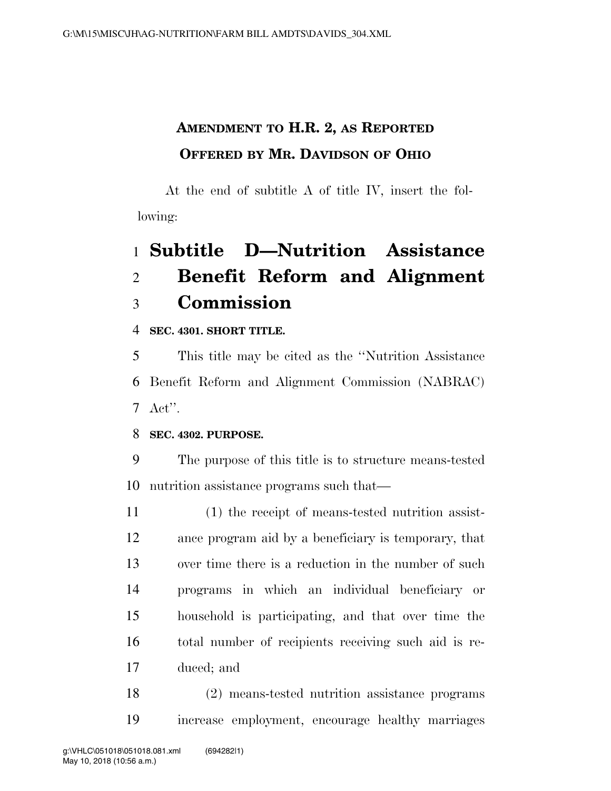## **AMENDMENT TO H.R. 2, AS REPORTED OFFERED BY MR. DAVIDSON OF OHIO**

At the end of subtitle A of title IV, insert the following:

# **Subtitle D—Nutrition Assistance Benefit Reform and Alignment Commission**

**SEC. 4301. SHORT TITLE.** 

 This title may be cited as the ''Nutrition Assistance Benefit Reform and Alignment Commission (NABRAC) Act''.

### **SEC. 4302. PURPOSE.**

 The purpose of this title is to structure means-tested nutrition assistance programs such that—

 (1) the receipt of means-tested nutrition assist- ance program aid by a beneficiary is temporary, that over time there is a reduction in the number of such programs in which an individual beneficiary or household is participating, and that over time the total number of recipients receiving such aid is re-duced; and

 (2) means-tested nutrition assistance programs increase employment, encourage healthy marriages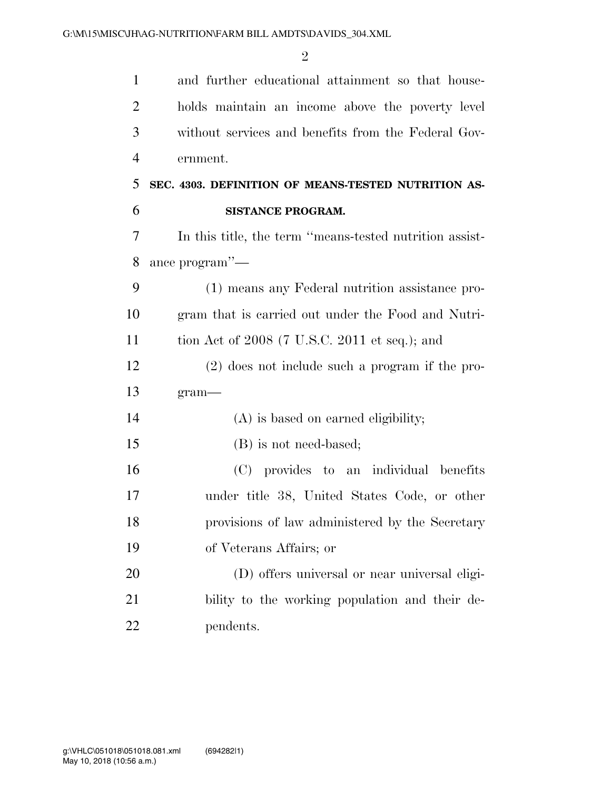| $\mathbf{1}$   | and further educational attainment so that house-       |
|----------------|---------------------------------------------------------|
| $\overline{2}$ | holds maintain an income above the poverty level        |
| 3              | without services and benefits from the Federal Gov-     |
| $\overline{4}$ | ernment.                                                |
| 5              | SEC. 4303. DEFINITION OF MEANS-TESTED NUTRITION AS-     |
| 6              | SISTANCE PROGRAM.                                       |
| 7              | In this title, the term "means-tested nutrition assist- |
| 8              | ance program"—                                          |
| 9              | (1) means any Federal nutrition assistance pro-         |
| 10             | gram that is carried out under the Food and Nutri-      |
| 11             | tion Act of $2008$ (7 U.S.C. 2011 et seq.); and         |
| 12             | $(2)$ does not include such a program if the pro-       |
| 13             | $gram$ —                                                |
| 14             | (A) is based on earned eligibility;                     |
| 15             | (B) is not need-based;                                  |
| 16             | (C) provides to an individual benefits                  |
| 17             | under title 38, United States Code, or other            |
| 18             | provisions of law administered by the Secretary         |
| 19             | of Veterans Affairs; or                                 |
| 20             | (D) offers universal or near universal eligi-           |
| 21             | bility to the working population and their de-          |
| 22             | pendents.                                               |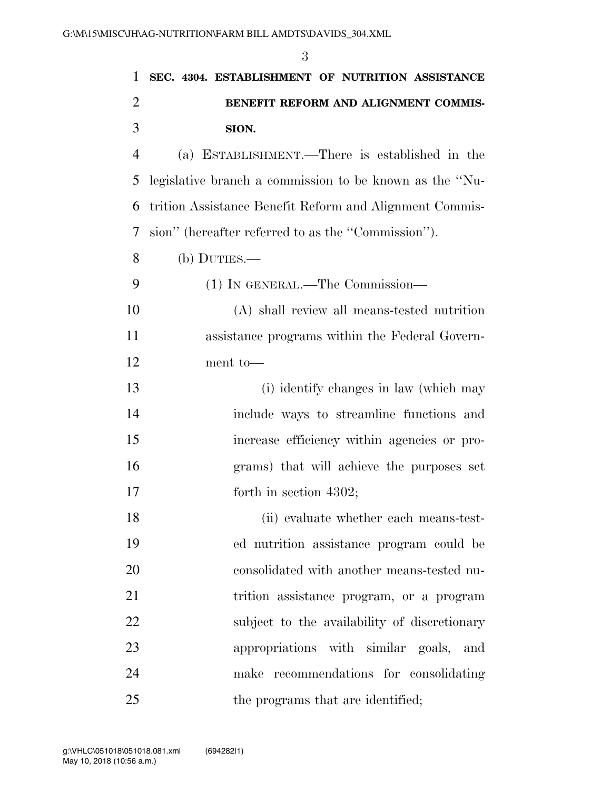| $\mathbf{1}$   | SEC. 4304. ESTABLISHMENT OF NUTRITION ASSISTANCE        |
|----------------|---------------------------------------------------------|
| $\overline{2}$ | BENEFIT REFORM AND ALIGNMENT COMMIS-                    |
| 3              | SION.                                                   |
| $\overline{4}$ | (a) ESTABLISHMENT.—There is established in the          |
| 5              | legislative branch a commission to be known as the "Nu- |
| 6              | trition Assistance Benefit Reform and Alignment Commis- |
| 7              | sion" (hereafter referred to as the "Commission").      |
| 8              | $(b)$ DUTIES.—                                          |
| 9              | (1) IN GENERAL.—The Commission—                         |
| 10             | (A) shall review all means-tested nutrition             |
| 11             | assistance programs within the Federal Govern-          |
| 12             | ment to-                                                |
| 13             | (i) identify changes in law (which may                  |
| 14             | include ways to streamline functions and                |
| 15             | increase efficiency within agencies or pro-             |
| 16             | grams) that will achieve the purposes set               |
| 17             | forth in section $4302$ ;                               |
| 18             | (ii) evaluate whether each means-test-                  |
| 19             | ed nutrition assistance program could be                |
| 20             | consolidated with another means-tested nu-              |
| 21             | trition assistance program, or a program                |
| 22             | subject to the availability of discretionary            |
| 23             | appropriations with similar goals, and                  |
| 24             | make recommendations for consolidating                  |
| 25             | the programs that are identified;                       |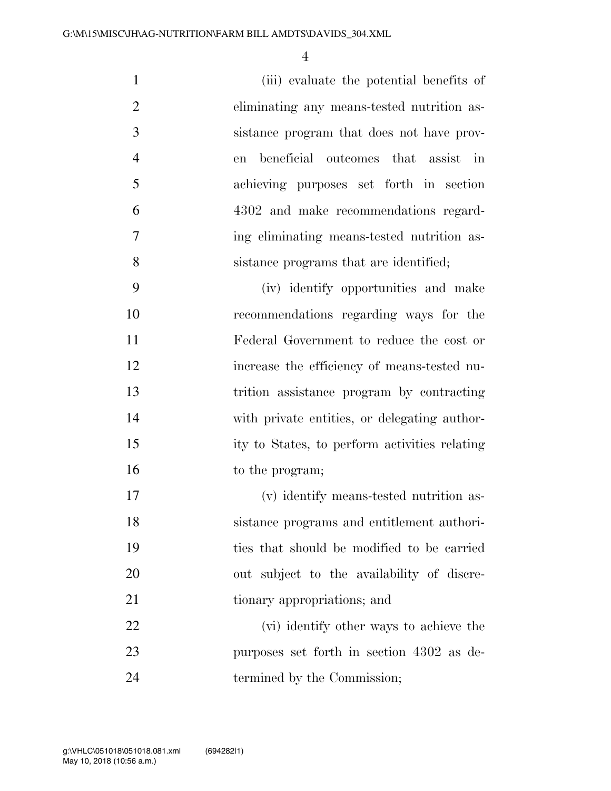(iii) evaluate the potential benefits of eliminating any means-tested nutrition as- sistance program that does not have prov- en beneficial outcomes that assist in achieving purposes set forth in section 4302 and make recommendations regard- ing eliminating means-tested nutrition as-sistance programs that are identified;

 (iv) identify opportunities and make recommendations regarding ways for the Federal Government to reduce the cost or increase the efficiency of means-tested nu- trition assistance program by contracting with private entities, or delegating author- ity to States, to perform activities relating 16 to the program;

 (v) identify means-tested nutrition as- sistance programs and entitlement authori- ties that should be modified to be carried out subject to the availability of discre-21 tionary appropriations; and

22 (vi) identify other ways to achieve the purposes set forth in section 4302 as de-24 termined by the Commission;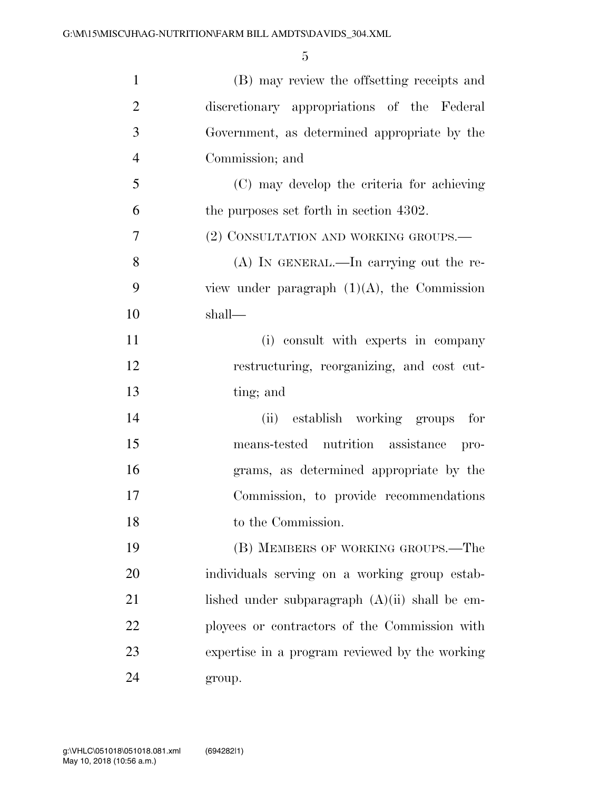| $\mathbf{1}$   | (B) may review the offsetting receipts and       |
|----------------|--------------------------------------------------|
| $\overline{2}$ | discretionary appropriations of the Federal      |
| 3              | Government, as determined appropriate by the     |
| $\overline{4}$ | Commission; and                                  |
| 5              | (C) may develop the criteria for achieving       |
| 6              | the purposes set forth in section 4302.          |
| 7              | (2) CONSULTATION AND WORKING GROUPS.-            |
| 8              | $(A)$ In GENERAL.—In carrying out the re-        |
| 9              | view under paragraph $(1)(A)$ , the Commission   |
| 10             | shall—                                           |
| 11             | (i) consult with experts in company              |
| 12             | restructuring, reorganizing, and cost cut-       |
| 13             | ting; and                                        |
| 14             | (ii) establish working groups for                |
| 15             | means-tested nutrition assistance pro-           |
| 16             | grams, as determined appropriate by the          |
| 17             | Commission, to provide recommendations           |
| 18             | to the Commission.                               |
| 19             | (B) MEMBERS OF WORKING GROUPS.—The               |
| 20             | individuals serving on a working group estab-    |
| 21             | lished under subparagraph $(A)(ii)$ shall be em- |
| 22             | ployees or contractors of the Commission with    |
| 23             | expertise in a program reviewed by the working   |
| 24             | group.                                           |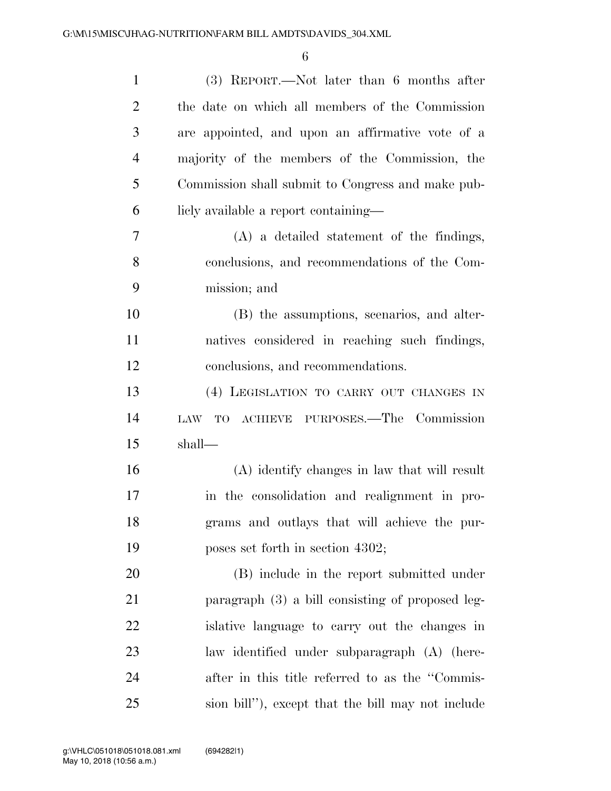| $\mathbf{1}$   | $(3)$ REPORT.—Not later than 6 months after        |
|----------------|----------------------------------------------------|
| $\overline{2}$ | the date on which all members of the Commission    |
| 3              | are appointed, and upon an affirmative vote of a   |
| $\overline{4}$ | majority of the members of the Commission, the     |
| 5              | Commission shall submit to Congress and make pub-  |
| 6              | licly available a report containing—               |
| $\overline{7}$ | $(A)$ a detailed statement of the findings,        |
| 8              | conclusions, and recommendations of the Com-       |
| 9              | mission; and                                       |
| 10             | (B) the assumptions, scenarios, and alter-         |
| 11             | natives considered in reaching such findings,      |
| 12             | conclusions, and recommendations.                  |
| 13             | (4) LEGISLATION TO CARRY OUT CHANGES IN            |
| 14             | TO ACHIEVE PURPOSES.—The Commission<br>LAW         |
| 15             | shall—                                             |
| 16             | (A) identify changes in law that will result       |
| 17             | in the consolidation and realignment in pro-       |
| 18             | grams and outlays that will achieve the pur-       |
| 19             | poses set forth in section 4302;                   |
| 20             | (B) include in the report submitted under          |
| 21             | paragraph (3) a bill consisting of proposed leg-   |
| 22             | is a is a single state of carry out the changes in |
| 23             | law identified under subparagraph (A) (here-       |
| 24             | after in this title referred to as the "Commis-    |
| 25             | sion bill"), except that the bill may not include  |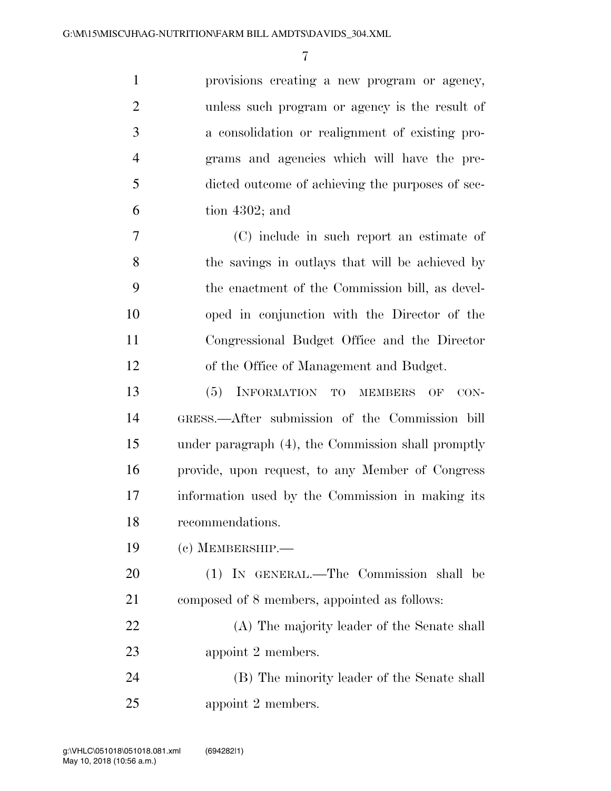| $\mathbf{1}$   | provisions creating a new program or agency,     |
|----------------|--------------------------------------------------|
| 2              | unless such program or agency is the result of   |
| 3              | a consolidation or realignment of existing pro-  |
| $\overline{4}$ | grams and agencies which will have the pre-      |
| 5              | dicted outcome of achieving the purposes of sec- |
| 6              | tion $4302$ ; and                                |
|                |                                                  |

 (C) include in such report an estimate of the savings in outlays that will be achieved by the enactment of the Commission bill, as devel- oped in conjunction with the Director of the Congressional Budget Office and the Director of the Office of Management and Budget.

 (5) INFORMATION TO MEMBERS OF CON- GRESS.—After submission of the Commission bill under paragraph (4), the Commission shall promptly provide, upon request, to any Member of Congress information used by the Commission in making its recommendations.

(c) MEMBERSHIP.—

 (1) IN GENERAL.—The Commission shall be composed of 8 members, appointed as follows:

 (A) The majority leader of the Senate shall appoint 2 members.

 (B) The minority leader of the Senate shall appoint 2 members.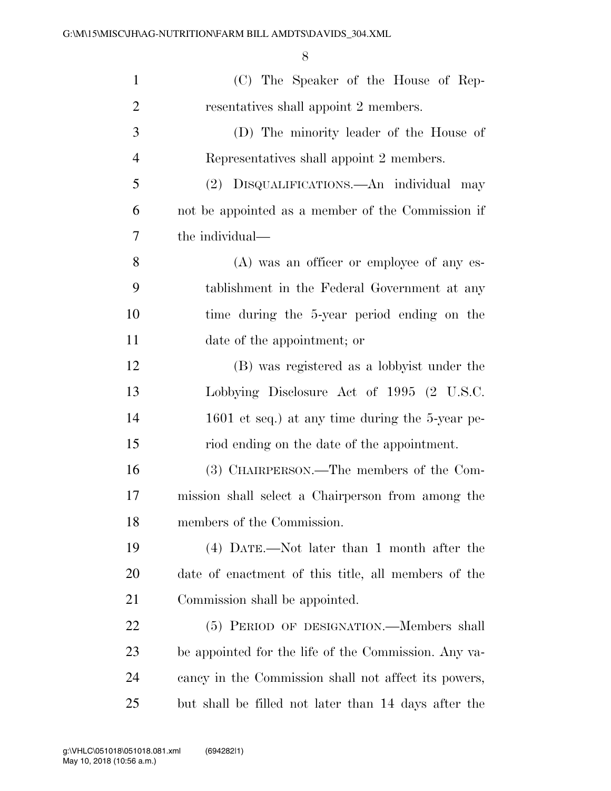| $\mathbf{1}$   | (C) The Speaker of the House of Rep-                 |
|----------------|------------------------------------------------------|
| $\overline{2}$ | resentatives shall appoint 2 members.                |
| 3              | (D) The minority leader of the House of              |
| $\overline{4}$ | Representatives shall appoint 2 members.             |
| 5              | (2) DISQUALIFICATIONS.—An individual may             |
| 6              | not be appointed as a member of the Commission if    |
| 7              | the individual—                                      |
| 8              | (A) was an officer or employee of any es-            |
| 9              | tablishment in the Federal Government at any         |
| 10             | time during the 5-year period ending on the          |
| 11             | date of the appointment; or                          |
| 12             | (B) was registered as a lobbyist under the           |
| 13             | Lobbying Disclosure Act of 1995 (2 U.S.C.            |
| 14             | 1601 et seq.) at any time during the 5-year pe-      |
| 15             | riod ending on the date of the appointment.          |
| 16             | (3) CHAIRPERSON.—The members of the Com-             |
| 17             | mission shall select a Chairperson from among the    |
| 18             | members of the Commission.                           |
| 19             | (4) DATE.—Not later than 1 month after the           |
| 20             | date of enactment of this title, all members of the  |
| 21             | Commission shall be appointed.                       |
| 22             | (5) PERIOD OF DESIGNATION.—Members shall             |
| 23             | be appointed for the life of the Commission. Any va- |
| 24             | cancy in the Commission shall not affect its powers, |
| 25             | but shall be filled not later than 14 days after the |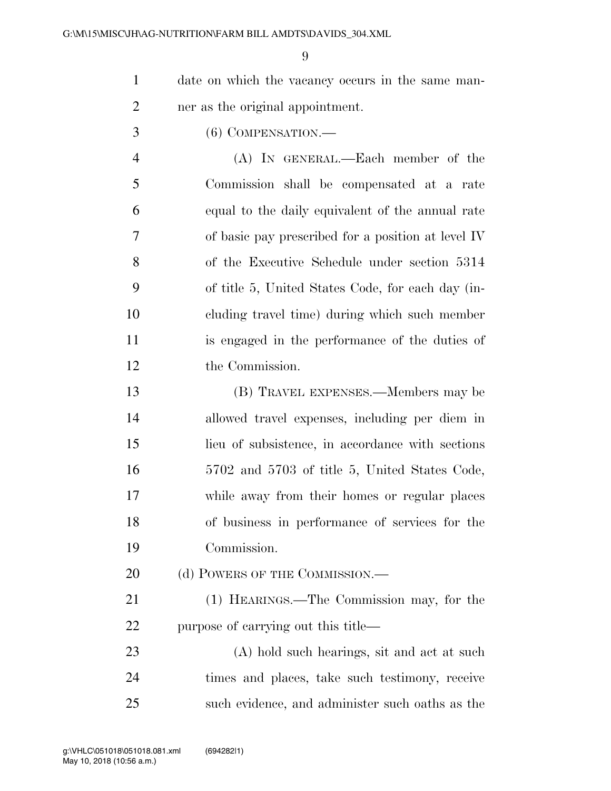date on which the vacancy occurs in the same man-ner as the original appointment.

(6) COMPENSATION.—

 (A) IN GENERAL.—Each member of the Commission shall be compensated at a rate equal to the daily equivalent of the annual rate of basic pay prescribed for a position at level IV of the Executive Schedule under section 5314 of title 5, United States Code, for each day (in- cluding travel time) during which such member is engaged in the performance of the duties of the Commission.

 (B) TRAVEL EXPENSES.—Members may be allowed travel expenses, including per diem in lieu of subsistence, in accordance with sections 5702 and 5703 of title 5, United States Code, while away from their homes or regular places of business in performance of services for the Commission.

20 (d) POWERS OF THE COMMISSION.—

 (1) HEARINGS.—The Commission may, for the purpose of carrying out this title—

 (A) hold such hearings, sit and act at such times and places, take such testimony, receive such evidence, and administer such oaths as the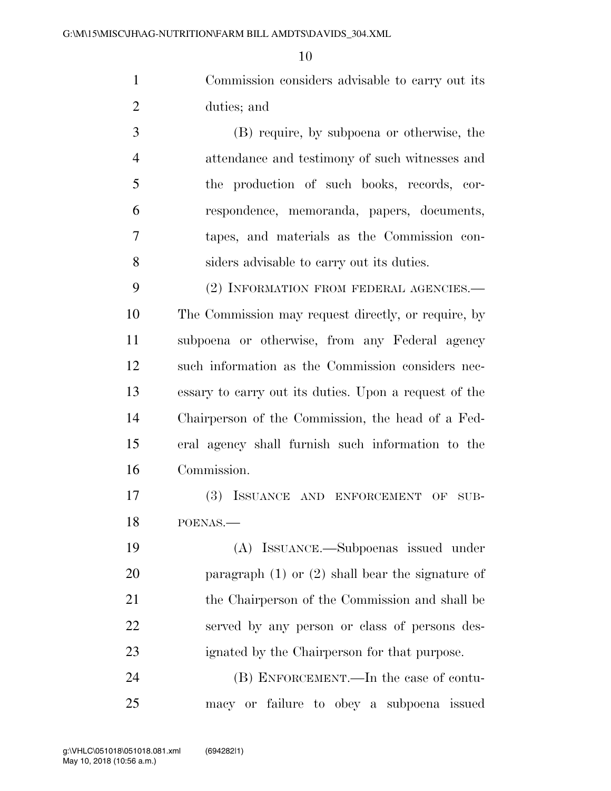Commission considers advisable to carry out its duties; and

 (B) require, by subpoena or otherwise, the attendance and testimony of such witnesses and the production of such books, records, cor- respondence, memoranda, papers, documents, tapes, and materials as the Commission con-siders advisable to carry out its duties.

9 (2) INFORMATION FROM FEDERAL AGENCIES.— The Commission may request directly, or require, by subpoena or otherwise, from any Federal agency such information as the Commission considers nec- essary to carry out its duties. Upon a request of the Chairperson of the Commission, the head of a Fed- eral agency shall furnish such information to the Commission.

 (3) ISSUANCE AND ENFORCEMENT OF SUB-POENAS.—

 (A) ISSUANCE.—Subpoenas issued under paragraph (1) or (2) shall bear the signature of 21 the Chairperson of the Commission and shall be served by any person or class of persons des-ignated by the Chairperson for that purpose.

 (B) ENFORCEMENT.—In the case of contu-macy or failure to obey a subpoena issued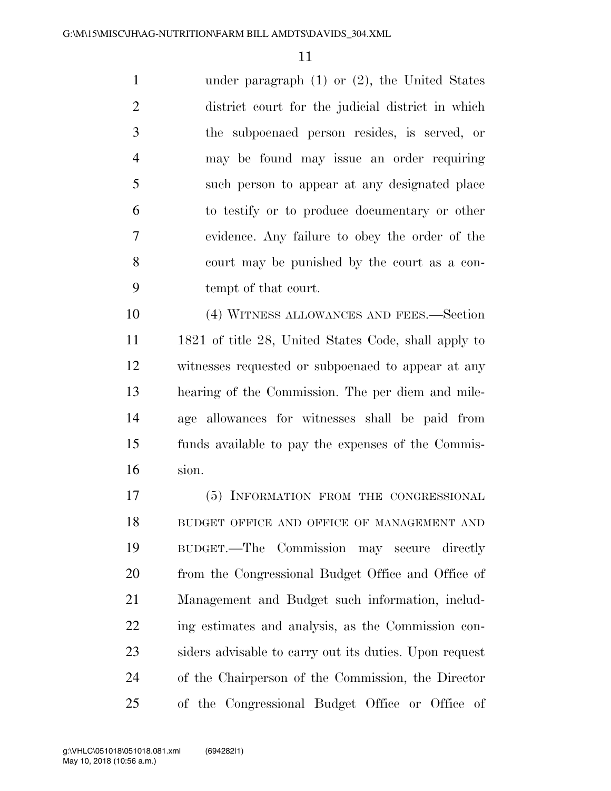under paragraph (1) or (2), the United States district court for the judicial district in which the subpoenaed person resides, is served, or may be found may issue an order requiring such person to appear at any designated place to testify or to produce documentary or other evidence. Any failure to obey the order of the court may be punished by the court as a con-tempt of that court.

 (4) WITNESS ALLOWANCES AND FEES.—Section 1821 of title 28, United States Code, shall apply to witnesses requested or subpoenaed to appear at any hearing of the Commission. The per diem and mile- age allowances for witnesses shall be paid from funds available to pay the expenses of the Commis-sion.

 (5) INFORMATION FROM THE CONGRESSIONAL 18 BUDGET OFFICE AND OFFICE OF MANAGEMENT AND BUDGET.—The Commission may secure directly from the Congressional Budget Office and Office of Management and Budget such information, includ- ing estimates and analysis, as the Commission con- siders advisable to carry out its duties. Upon request of the Chairperson of the Commission, the Director of the Congressional Budget Office or Office of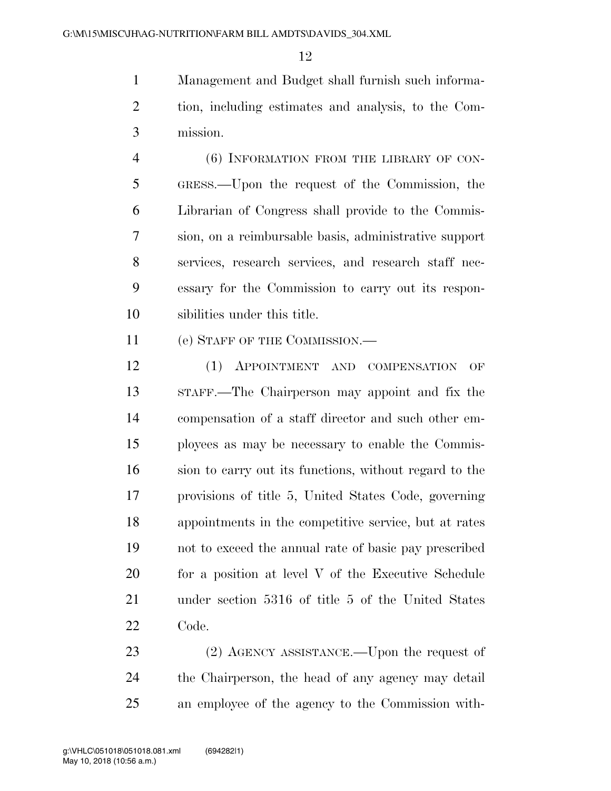Management and Budget shall furnish such informa- tion, including estimates and analysis, to the Com-mission.

 (6) INFORMATION FROM THE LIBRARY OF CON- GRESS.—Upon the request of the Commission, the Librarian of Congress shall provide to the Commis- sion, on a reimbursable basis, administrative support services, research services, and research staff nec- essary for the Commission to carry out its respon-sibilities under this title.

11 (e) STAFF OF THE COMMISSION.—

 (1) APPOINTMENT AND COMPENSATION OF STAFF.—The Chairperson may appoint and fix the compensation of a staff director and such other em- ployees as may be necessary to enable the Commis- sion to carry out its functions, without regard to the provisions of title 5, United States Code, governing appointments in the competitive service, but at rates not to exceed the annual rate of basic pay prescribed 20 for a position at level V of the Executive Schedule under section 5316 of title 5 of the United States Code.

23 (2) AGENCY ASSISTANCE.—Upon the request of the Chairperson, the head of any agency may detail an employee of the agency to the Commission with-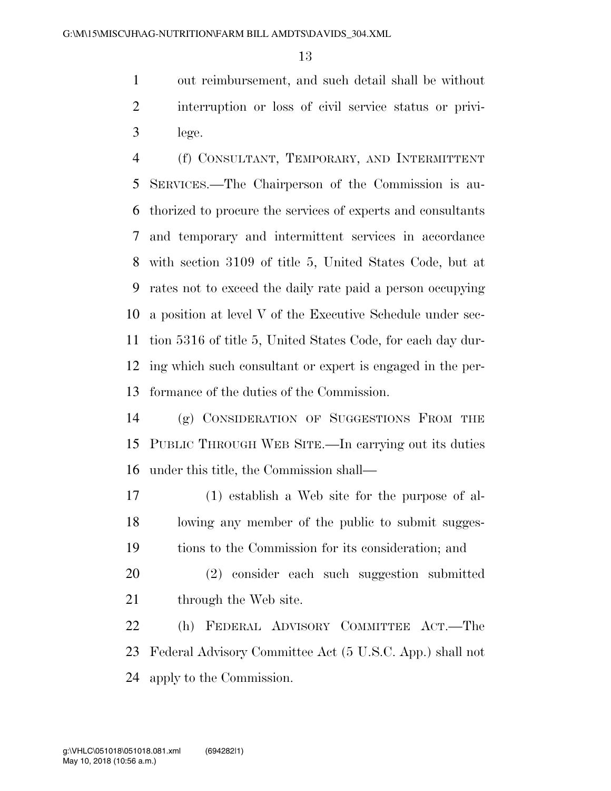out reimbursement, and such detail shall be without interruption or loss of civil service status or privi-lege.

 (f) CONSULTANT, TEMPORARY, AND INTERMITTENT SERVICES.—The Chairperson of the Commission is au- thorized to procure the services of experts and consultants and temporary and intermittent services in accordance with section 3109 of title 5, United States Code, but at rates not to exceed the daily rate paid a person occupying a position at level V of the Executive Schedule under sec- tion 5316 of title 5, United States Code, for each day dur- ing which such consultant or expert is engaged in the per-formance of the duties of the Commission.

 (g) CONSIDERATION OF SUGGESTIONS FROM THE PUBLIC THROUGH WEB SITE.—In carrying out its duties under this title, the Commission shall—

 (1) establish a Web site for the purpose of al- lowing any member of the public to submit sugges-tions to the Commission for its consideration; and

 (2) consider each such suggestion submitted 21 through the Web site.

 (h) FEDERAL ADVISORY COMMITTEE ACT.—The Federal Advisory Committee Act (5 U.S.C. App.) shall not apply to the Commission.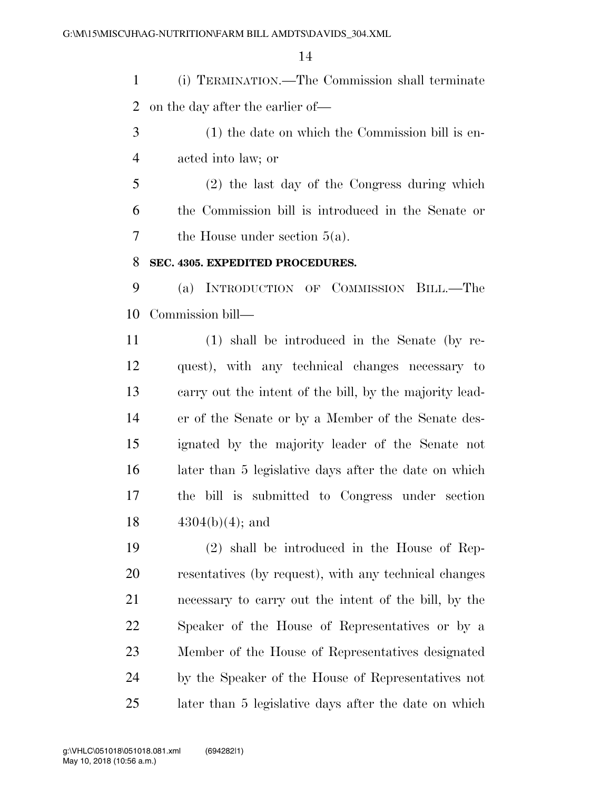(i) TERMINATION.—The Commission shall terminate on the day after the earlier of—

- (1) the date on which the Commission bill is en-acted into law; or
- (2) the last day of the Congress during which the Commission bill is introduced in the Senate or the House under section 5(a).

#### **SEC. 4305. EXPEDITED PROCEDURES.**

 (a) INTRODUCTION OF COMMISSION BILL.—The Commission bill—

 (1) shall be introduced in the Senate (by re- quest), with any technical changes necessary to carry out the intent of the bill, by the majority lead- er of the Senate or by a Member of the Senate des- ignated by the majority leader of the Senate not later than 5 legislative days after the date on which the bill is submitted to Congress under section  $4304(b)(4)$ ; and

 (2) shall be introduced in the House of Rep- resentatives (by request), with any technical changes necessary to carry out the intent of the bill, by the Speaker of the House of Representatives or by a Member of the House of Representatives designated by the Speaker of the House of Representatives not later than 5 legislative days after the date on which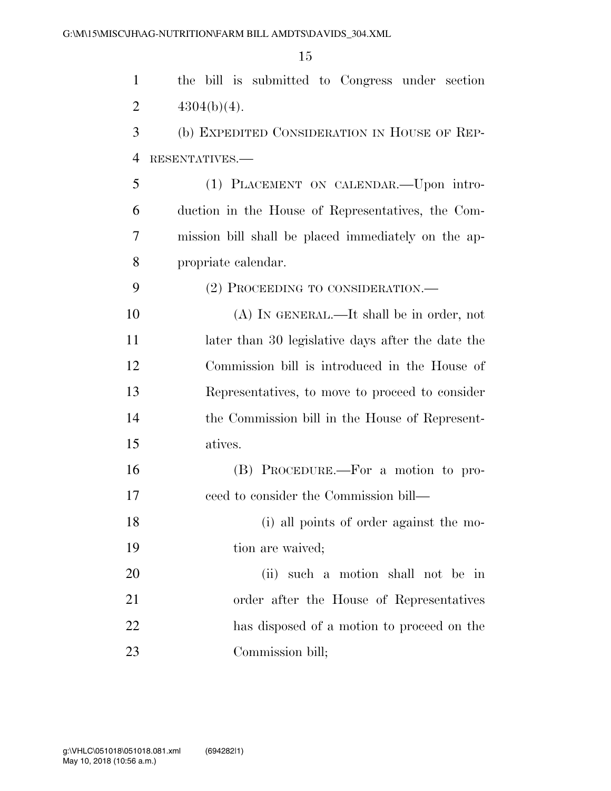| $\mathbf{1}$   | the bill is submitted to Congress under section     |
|----------------|-----------------------------------------------------|
| $\overline{2}$ | $4304(b)(4)$ .                                      |
| 3              | (b) EXPEDITED CONSIDERATION IN HOUSE OF REP-        |
| $\overline{4}$ | RESENTATIVES.-                                      |
| 5              | (1) PLACEMENT ON CALENDAR. - Upon intro-            |
| 6              | duction in the House of Representatives, the Com-   |
| 7              | mission bill shall be placed immediately on the ap- |
| 8              | propriate calendar.                                 |
| 9              | (2) PROCEEDING TO CONSIDERATION.—                   |
| 10             | $(A)$ In GENERAL.—It shall be in order, not         |
| 11             | later than 30 legislative days after the date the   |
| 12             | Commission bill is introduced in the House of       |
| 13             | Representatives, to move to proceed to consider     |
| 14             | the Commission bill in the House of Represent-      |
| 15             | atives.                                             |
| 16             | (B) PROCEDURE.—For a motion to pro-                 |
| 17             | ceed to consider the Commission bill—               |
| 18             | (i) all points of order against the mo-             |
| 19             | tion are waived;                                    |
| 20             | (ii) such a motion shall not be in                  |
| 21             | order after the House of Representatives            |
| 22             | has disposed of a motion to proceed on the          |
| 23             | Commission bill;                                    |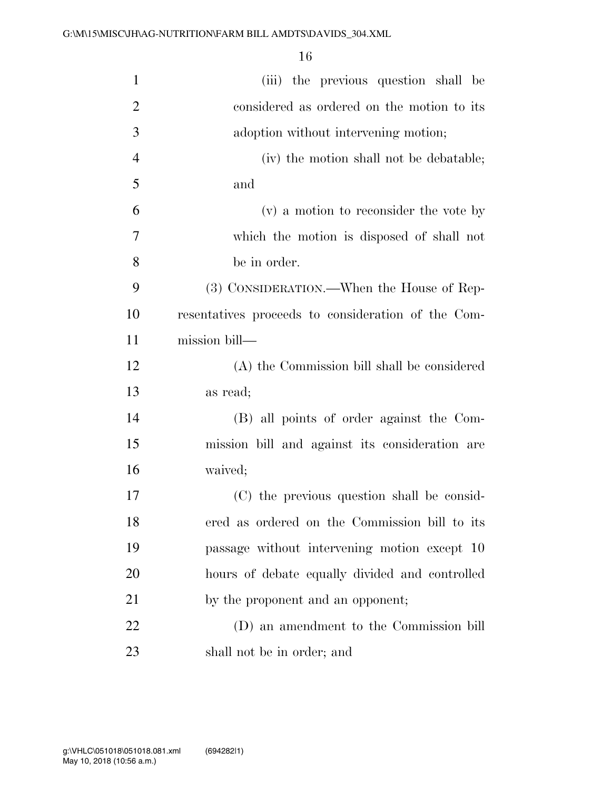| $\mathbf{1}$   | (iii) the previous question shall be               |
|----------------|----------------------------------------------------|
| $\overline{2}$ | considered as ordered on the motion to its         |
| 3              | adoption without intervening motion;               |
| $\overline{4}$ | (iv) the motion shall not be debatable;            |
| 5              | and                                                |
| 6              | (v) a motion to reconsider the vote by             |
| $\overline{7}$ | which the motion is disposed of shall not          |
| 8              | be in order.                                       |
| 9              | (3) CONSIDERATION.—When the House of Rep-          |
| 10             | resentatives proceeds to consideration of the Com- |
| 11             | mission bill—                                      |
| 12             | (A) the Commission bill shall be considered        |
| 13             | as read;                                           |
| 14             | (B) all points of order against the Com-           |
| 15             | mission bill and against its consideration are     |
| 16             | waived;                                            |
| 17             | (C) the previous question shall be consid-         |
| 18             | ered as ordered on the Commission bill to its      |
| 19             | passage without intervening motion except 10       |
| 20             | hours of debate equally divided and controlled     |
| 21             | by the proponent and an opponent;                  |
| 22             | (D) an amendment to the Commission bill            |
| 23             | shall not be in order; and                         |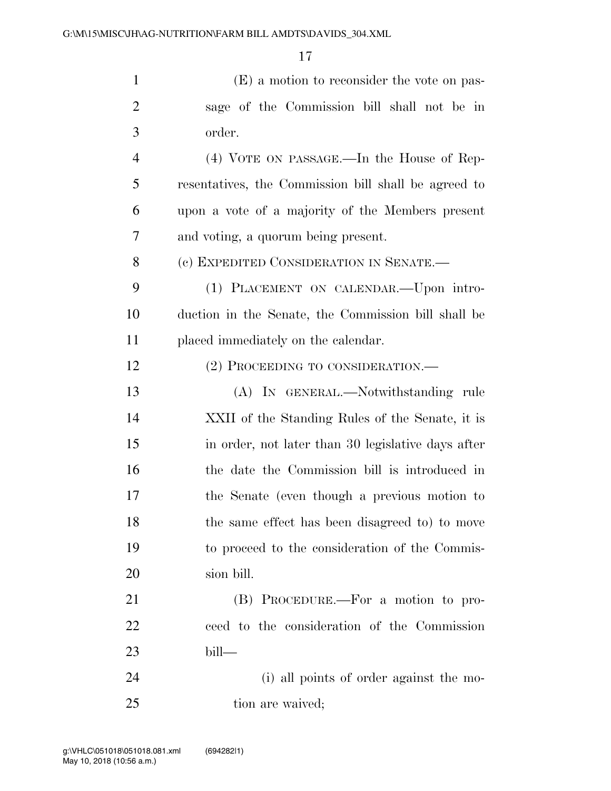| $\mathbf{1}$   | (E) a motion to reconsider the vote on pas-          |
|----------------|------------------------------------------------------|
| $\overline{c}$ | sage of the Commission bill shall not be in          |
| 3              | order.                                               |
| $\overline{4}$ | (4) VOTE ON PASSAGE.—In the House of Rep-            |
| 5              | resentatives, the Commission bill shall be agreed to |
| 6              | upon a vote of a majority of the Members present     |
| 7              | and voting, a quorum being present.                  |
| 8              | (c) EXPEDITED CONSIDERATION IN SENATE.—              |
| 9              | (1) PLACEMENT ON CALENDAR. - Upon intro-             |
| 10             | duction in the Senate, the Commission bill shall be  |
| 11             | placed immediately on the calendar.                  |
| 12             | (2) PROCEEDING TO CONSIDERATION.—                    |
| 13             | (A) IN GENERAL.—Notwithstanding rule                 |
| 14             | XXII of the Standing Rules of the Senate, it is      |
| 15             | in order, not later than 30 legislative days after   |
| 16             | the date the Commission bill is introduced in        |
| 17             | the Senate (even though a previous motion to         |
| 18             | the same effect has been disagreed to) to move       |
| 19             | to proceed to the consideration of the Commis-       |
| 20             | sion bill.                                           |
| 21             | (B) PROCEDURE.—For a motion to pro-                  |
| 22             | ceed to the consideration of the Commission          |
| 23             | bill—                                                |
| 24             | (i) all points of order against the mo-              |
| 25             | tion are waived;                                     |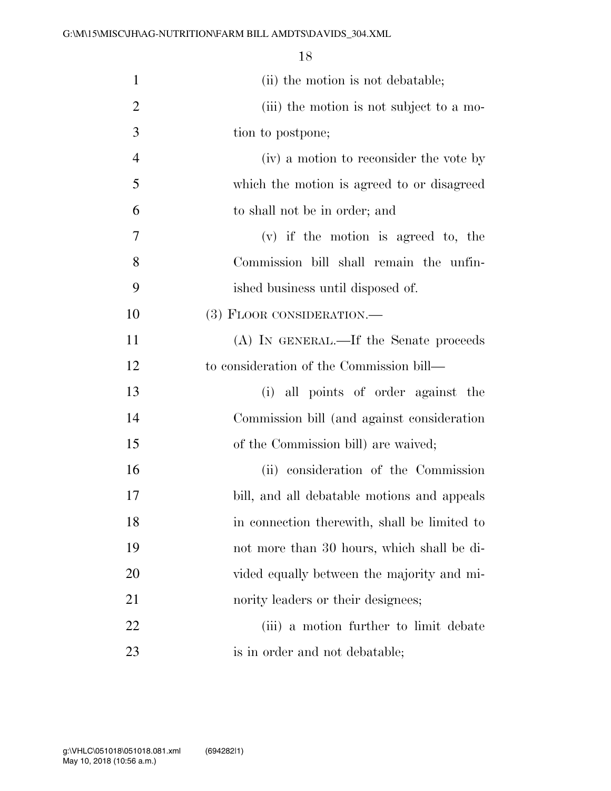| $\mathbf{1}$   | (ii) the motion is not debatable;            |
|----------------|----------------------------------------------|
| $\overline{2}$ | (iii) the motion is not subject to a mo-     |
| 3              | tion to postpone;                            |
| $\overline{4}$ | (iv) a motion to reconsider the vote by      |
| 5              | which the motion is agreed to or disagreed   |
| 6              | to shall not be in order; and                |
| 7              | $(v)$ if the motion is agreed to, the        |
| 8              | Commission bill shall remain the unfin-      |
| 9              | ished business until disposed of.            |
| 10             | (3) FLOOR CONSIDERATION.—                    |
| 11             | (A) IN GENERAL.—If the Senate proceeds       |
| 12             | to consideration of the Commission bill—     |
| 13             | (i) all points of order against the          |
| 14             | Commission bill (and against consideration   |
| 15             | of the Commission bill) are waived;          |
| 16             | (ii) consideration of the Commission         |
| 17             | bill, and all debatable motions and appeals  |
| 18             | in connection therewith, shall be limited to |
| 19             | not more than 30 hours, which shall be di-   |
| 20             | vided equally between the majority and mi-   |
| 21             | nority leaders or their designees;           |
| 22             | (iii) a motion further to limit debate       |
| 23             | is in order and not debatable;               |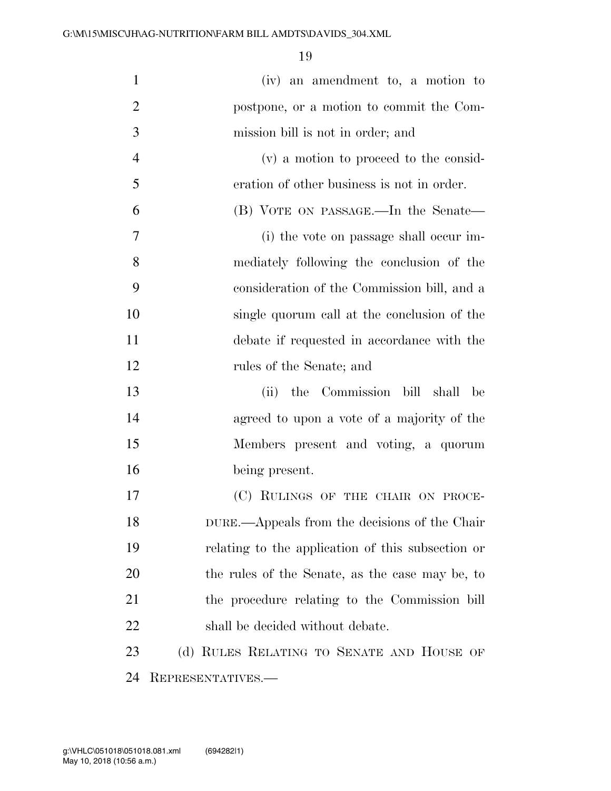| $\mathbf{1}$   | (iv) an amendment to, a motion to                 |
|----------------|---------------------------------------------------|
| $\overline{2}$ | postpone, or a motion to commit the Com-          |
| 3              | mission bill is not in order; and                 |
| $\overline{4}$ | (v) a motion to proceed to the consid-            |
| 5              | eration of other business is not in order.        |
| 6              | (B) VOTE ON PASSAGE.—In the Senate—               |
| 7              | (i) the vote on passage shall occur im-           |
| 8              | mediately following the conclusion of the         |
| 9              | consideration of the Commission bill, and a       |
| 10             | single quorum call at the conclusion of the       |
| 11             | debate if requested in accordance with the        |
| 12             | rules of the Senate; and                          |
| 13             | the Commission bill shall be<br>(ii)              |
| 14             | agreed to upon a vote of a majority of the        |
| 15             | Members present and voting, a quorum              |
| 16             | being present.                                    |
| 17             | (C) RULINGS OF THE CHAIR ON PROCE-                |
| 18             | DURE.—Appeals from the decisions of the Chair     |
| 19             | relating to the application of this subsection or |
| 20             | the rules of the Senate, as the case may be, to   |
| 21             | the procedure relating to the Commission bill     |
| 22             | shall be decided without debate.                  |
| 23             | (d) RULES RELATING TO SENATE AND HOUSE OF         |
| 24             | REPRESENTATIVES.—                                 |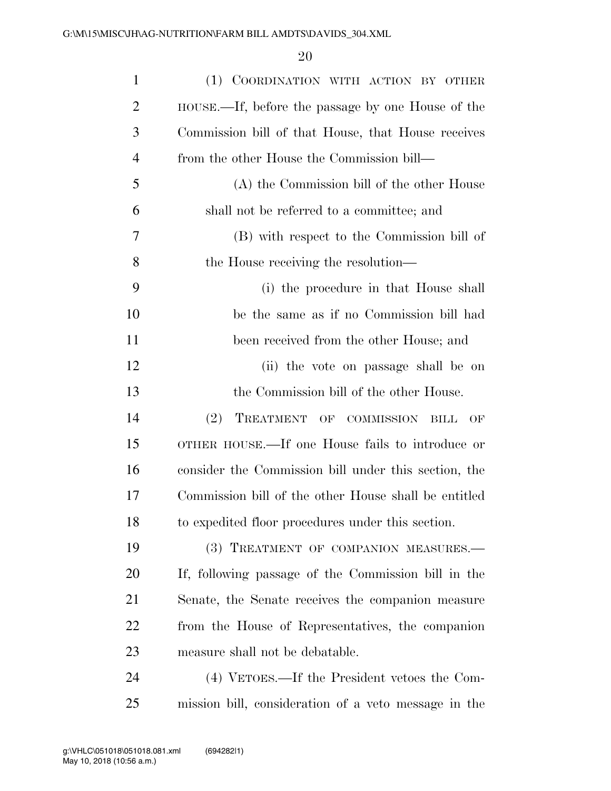| $\mathbf{1}$   | (1) COORDINATION WITH ACTION BY OTHER                  |
|----------------|--------------------------------------------------------|
| $\overline{2}$ | HOUSE.—If, before the passage by one House of the      |
| 3              | Commission bill of that House, that House receives     |
| 4              | from the other House the Commission bill—              |
| 5              | (A) the Commission bill of the other House             |
| 6              | shall not be referred to a committee; and              |
| 7              | (B) with respect to the Commission bill of             |
| 8              | the House receiving the resolution—                    |
| 9              | (i) the procedure in that House shall                  |
| 10             | be the same as if no Commission bill had               |
| 11             | been received from the other House; and                |
| 12             | (ii) the vote on passage shall be on                   |
| 13             | the Commission bill of the other House.                |
| 14             | (2)<br>TREATMENT<br>OF COMMISSION<br><b>BILL</b><br>OF |
| 15             | OTHER HOUSE.—If one House fails to introduce or        |
| 16             | consider the Commission bill under this section, the   |
| 17             | Commission bill of the other House shall be entitled   |
| 18             | to expedited floor procedures under this section.      |
| 19             | (3) TREATMENT OF COMPANION MEASURES.-                  |
| 20             | If, following passage of the Commission bill in the    |
| 21             | Senate, the Senate receives the companion measure      |
| 22             | from the House of Representatives, the companion       |
| 23             | measure shall not be debatable.                        |
| 24             | (4) VETOES.—If the President vetoes the Com-           |
| 25             | mission bill, consideration of a veto message in the   |